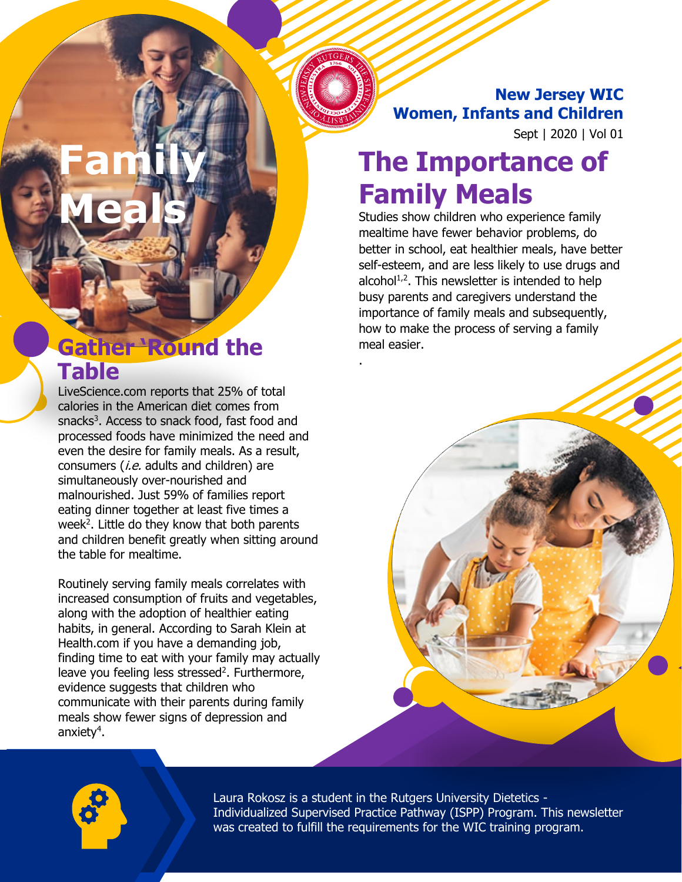**New Jersey WIC Women, Infants and Children**

Sept | 2020 | Vol 01

# **The Importance of Family Meals**

Studies show children who experience family mealtime have fewer behavior problems, do better in school, eat healthier meals, have better self-esteem, and are less likely to use drugs and alcohol $1/2$ . This newsletter is intended to help busy parents and caregivers understand the importance of family meals and subsequently, how to make the process of serving a family meal easier.

.

## **Gather 'Round the Table**

**Family** 

**Meals**

LiveScience.com reports that 25% of total calories in the American diet comes from snacks<sup>3</sup>. Access to snack food, fast food and processed foods have minimized the need and even the desire for family meals. As a result, consumers (*i.e.* adults and children) are simultaneously over-nourished and malnourished. Just 59% of families report eating dinner together at least five times a week<sup>2</sup>. Little do they know that both parents and children benefit greatly when sitting around the table for mealtime.

Routinely serving family meals correlates with increased consumption of fruits and vegetables, along with the adoption of healthier eating habits, in general. According to Sarah Klein at Health.com if you have a demanding job, finding time to eat with your family may actually leave you feeling less stressed<sup>2</sup>. Furthermore, evidence suggests that children who communicate with their parents during family meals show fewer signs of depression and anxiety<sup>4</sup>.



Laura Rokosz is a student in the Rutgers University Dietetics - Individualized Supervised Practice Pathway (ISPP) Program. This newsletter was created to fulfill the requirements for the WIC training program.